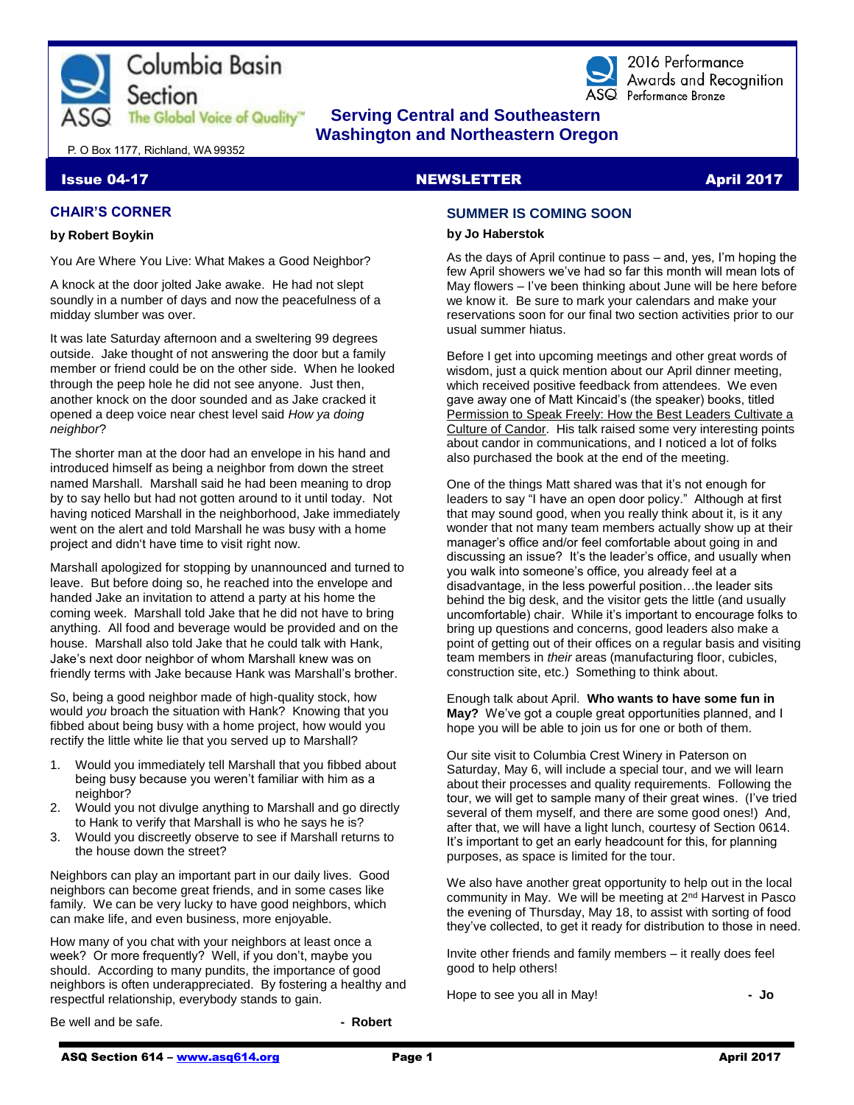



2016 Performance Awards and Recognition ASQ Performance Bronze

# **The Global Voice of Quality"** Serving Central and Southeastern  **Washington and Northeastern Oregon**

P. O Box 1177, Richland, WA 99352

### **Issue 04-17 April 2017 NEWSLETTER April 2017**

# **CHAIR'S CORNER**

#### **by Robert Boykin**

You Are Where You Live: What Makes a Good Neighbor?

A knock at the door jolted Jake awake. He had not slept soundly in a number of days and now the peacefulness of a midday slumber was over.

It was late Saturday afternoon and a sweltering 99 degrees outside. Jake thought of not answering the door but a family member or friend could be on the other side. When he looked through the peep hole he did not see anyone. Just then, another knock on the door sounded and as Jake cracked it opened a deep voice near chest level said *How ya doing neighbor*?

The shorter man at the door had an envelope in his hand and introduced himself as being a neighbor from down the street named Marshall. Marshall said he had been meaning to drop by to say hello but had not gotten around to it until today. Not having noticed Marshall in the neighborhood, Jake immediately went on the alert and told Marshall he was busy with a home project and didn't have time to visit right now.

Marshall apologized for stopping by unannounced and turned to leave. But before doing so, he reached into the envelope and handed Jake an invitation to attend a party at his home the coming week. Marshall told Jake that he did not have to bring anything. All food and beverage would be provided and on the house. Marshall also told Jake that he could talk with Hank, Jake's next door neighbor of whom Marshall knew was on friendly terms with Jake because Hank was Marshall's brother.

So, being a good neighbor made of high-quality stock, how would *you* broach the situation with Hank? Knowing that you fibbed about being busy with a home project, how would you rectify the little white lie that you served up to Marshall?

- 1. Would you immediately tell Marshall that you fibbed about being busy because you weren't familiar with him as a neighbor?
- 2. Would you not divulge anything to Marshall and go directly to Hank to verify that Marshall is who he says he is?
- 3. Would you discreetly observe to see if Marshall returns to the house down the street?

Neighbors can play an important part in our daily lives. Good neighbors can become great friends, and in some cases like family. We can be very lucky to have good neighbors, which can make life, and even business, more enjoyable.

How many of you chat with your neighbors at least once a week? Or more frequently? Well, if you don't, maybe you should. According to many pundits, the importance of good neighbors is often underappreciated. By fostering a healthy and respectful relationship, everybody stands to gain.

Be well and be safe. **A contract a set of the set of the set of the Robert - Robert** 

# **SUMMER IS COMING SOON**

#### **by Jo Haberstok**

As the days of April continue to pass – and, yes, I'm hoping the few April showers we've had so far this month will mean lots of May flowers – I've been thinking about June will be here before we know it. Be sure to mark your calendars and make your reservations soon for our final two section activities prior to our usual summer hiatus.

Before I get into upcoming meetings and other great words of wisdom, just a quick mention about our April dinner meeting, which received positive feedback from attendees. We even gave away one of Matt Kincaid's (the speaker) books, titled Permission to Speak Freely: How the Best Leaders Cultivate a Culture of Candor. His talk raised some very interesting points about candor in communications, and I noticed a lot of folks also purchased the book at the end of the meeting.

One of the things Matt shared was that it's not enough for leaders to say "I have an open door policy." Although at first that may sound good, when you really think about it, is it any wonder that not many team members actually show up at their manager's office and/or feel comfortable about going in and discussing an issue? It's the leader's office, and usually when you walk into someone's office, you already feel at a disadvantage, in the less powerful position…the leader sits behind the big desk, and the visitor gets the little (and usually uncomfortable) chair. While it's important to encourage folks to bring up questions and concerns, good leaders also make a point of getting out of their offices on a regular basis and visiting team members in *their* areas (manufacturing floor, cubicles, construction site, etc.) Something to think about.

Enough talk about April. **Who wants to have some fun in May?** We've got a couple great opportunities planned, and I hope you will be able to join us for one or both of them.

Our site visit to Columbia Crest Winery in Paterson on Saturday, May 6, will include a special tour, and we will learn about their processes and quality requirements. Following the tour, we will get to sample many of their great wines. (I've tried several of them myself, and there are some good ones!) And, after that, we will have a light lunch, courtesy of Section 0614. It's important to get an early headcount for this, for planning purposes, as space is limited for the tour.

We also have another great opportunity to help out in the local community in May. We will be meeting at 2nd Harvest in Pasco the evening of Thursday, May 18, to assist with sorting of food they've collected, to get it ready for distribution to those in need.

Invite other friends and family members – it really does feel good to help others!

Hope to see you all in May! **- Jo**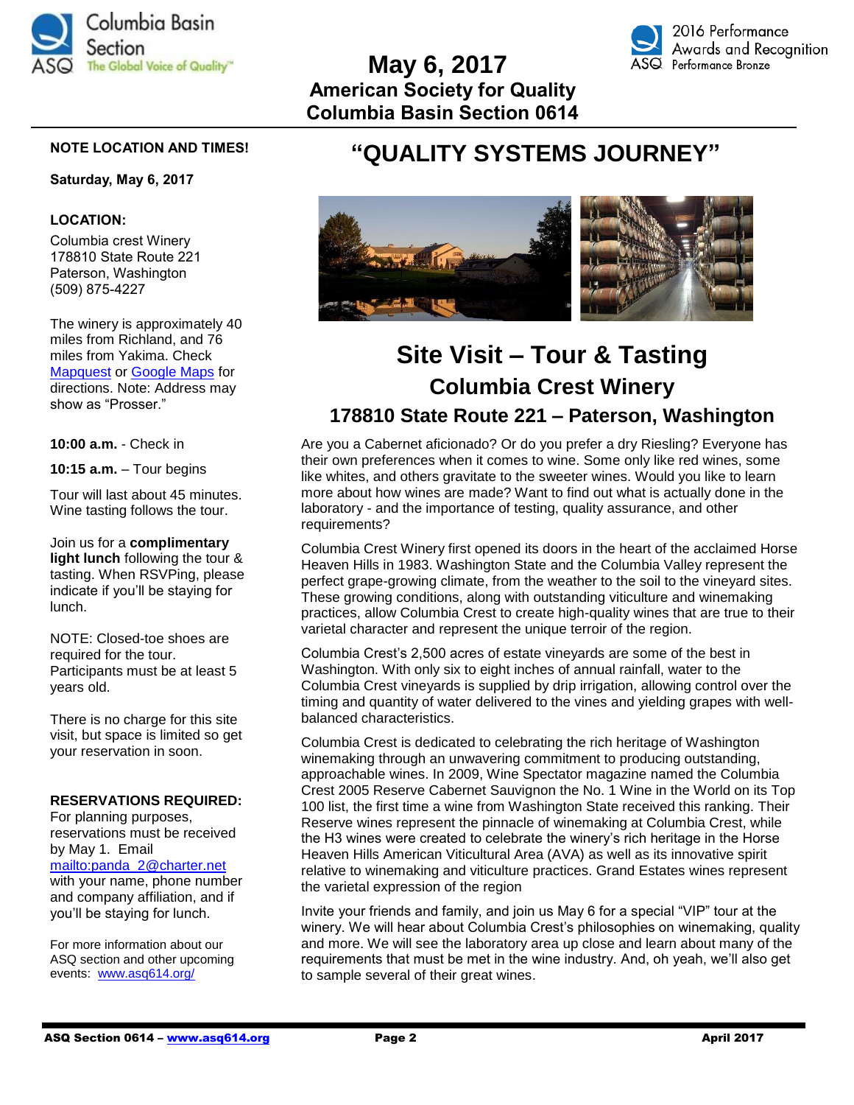

# **May 6, 2017 American Society for Quality Columbia Basin Section 0614**



# **NOTE LOCATION AND TIMES!**

#### **Saturday, May 6, 2017**

### **LOCATION:**

Columbia crest Winery 178810 State Route 221 Paterson, Washington (509) 875-4227

The winery is approximately 40 miles from Richland, and 76 miles from Yakima. Check [Mapquest](http://www.mapquest.com/) or [Google Maps](https://www.google.com/maps) for directions. Note: Address may show as "Prosser."

**10:00 a.m.** - Check in

**10:15 a.m.** – Tour begins

Tour will last about 45 minutes. Wine tasting follows the tour.

Join us for a **complimentary light lunch** following the tour & tasting. When RSVPing, please indicate if you'll be staying for lunch.

NOTE: Closed-toe shoes are required for the tour. Participants must be at least 5 years old.

There is no charge for this site visit, but space is limited so get your reservation in soon.

#### **RESERVATIONS REQUIRED:**

For planning purposes, reservations must be received by May 1. Email [mailto:panda\\_2@charter.net](mailto:panda_2@charter.net) with your name, phone number and company affiliation, and if you'll be staying for lunch.

For more information about our ASQ section and other upcoming events: [www.asq614.org/](http://www.asq614.org/)

# **"QUALITY SYSTEMS JOURNEY"**



# **Site Visit – Tour & Tasting Columbia Crest Winery 178810 State Route 221 – Paterson, Washington**

Are you a Cabernet aficionado? Or do you prefer a dry Riesling? Everyone has their own preferences when it comes to wine. Some only like red wines, some like whites, and others gravitate to the sweeter wines. Would you like to learn more about how wines are made? Want to find out what is actually done in the laboratory - and the importance of testing, quality assurance, and other requirements?

Columbia Crest Winery first opened its doors in the heart of the acclaimed Horse Heaven Hills in 1983. Washington State and the Columbia Valley represent the perfect grape-growing climate, from the weather to the soil to the vineyard sites. These growing conditions, along with outstanding viticulture and winemaking practices, allow Columbia Crest to create high-quality wines that are true to their varietal character and represent the unique terroir of the region.

Columbia Crest's 2,500 acres of estate vineyards are some of the best in Washington. With only six to eight inches of annual rainfall, water to the Columbia Crest vineyards is supplied by drip irrigation, allowing control over the timing and quantity of water delivered to the vines and yielding grapes with wellbalanced characteristics.

Columbia Crest is dedicated to celebrating the rich heritage of Washington winemaking through an unwavering commitment to producing outstanding, approachable wines. In 2009, Wine Spectator magazine named the Columbia Crest 2005 Reserve Cabernet Sauvignon the No. 1 Wine in the World on its Top 100 list, the first time a wine from Washington State received this ranking. Their Reserve wines represent the pinnacle of winemaking at Columbia Crest, while the H3 wines were created to celebrate the winery's rich heritage in the Horse Heaven Hills American Viticultural Area (AVA) as well as its innovative spirit relative to winemaking and viticulture practices. Grand Estates wines represent the varietal expression of the region

Invite your friends and family, and join us May 6 for a special "VIP" tour at the winery. We will hear about Columbia Crest's philosophies on winemaking, quality and more. We will see the laboratory area up close and learn about many of the requirements that must be met in the wine industry. And, oh yeah, we'll also get to sample several of their great wines.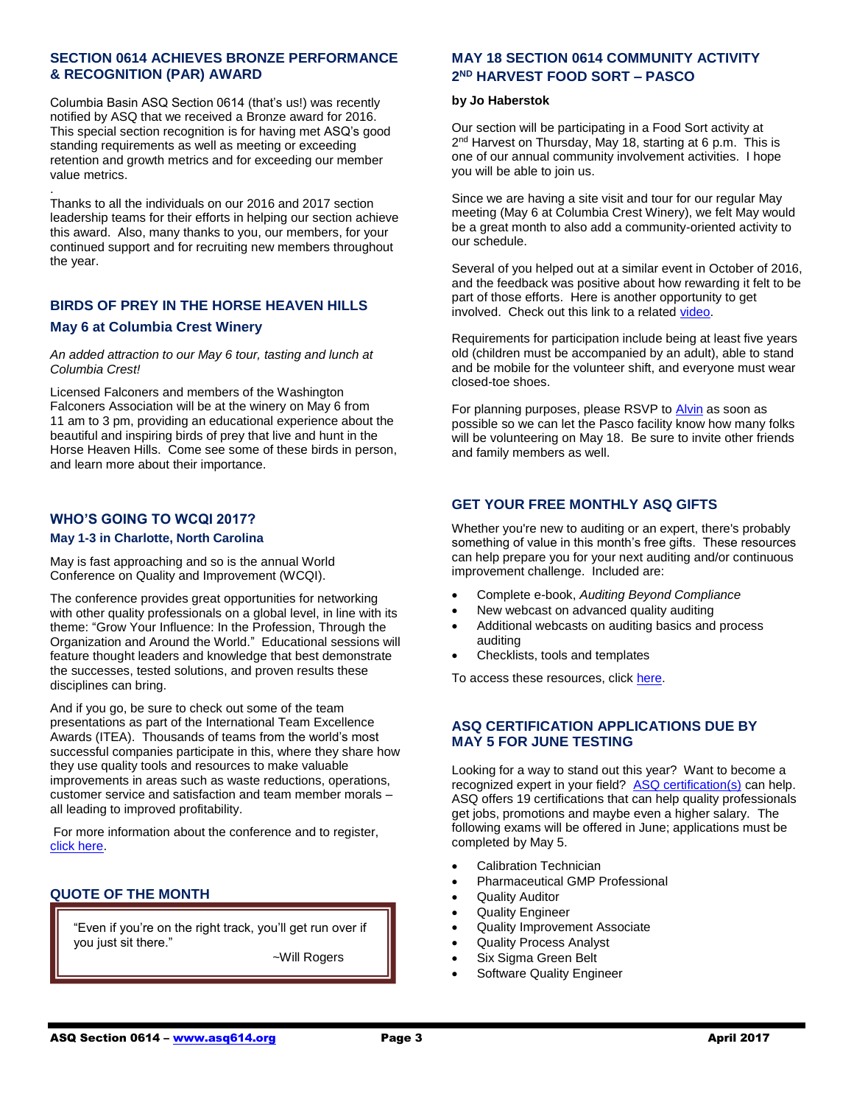# **SECTION 0614 ACHIEVES BRONZE PERFORMANCE & RECOGNITION (PAR) AWARD**

Columbia Basin ASQ Section 0614 (that's us!) was recently notified by ASQ that we received a Bronze award for 2016. This special section recognition is for having met ASQ's good standing requirements as well as meeting or exceeding retention and growth metrics and for exceeding our member value metrics.

Thanks to all the individuals on our 2016 and 2017 section leadership teams for their efforts in helping our section achieve this award. Also, many thanks to you, our members, for your continued support and for recruiting new members throughout the year.

# **BIRDS OF PREY IN THE HORSE HEAVEN HILLS May 6 at Columbia Crest Winery**

#### *An added attraction to our May 6 tour, tasting and lunch at Columbia Crest!*

Licensed Falconers and members of the Washington Falconers Association will be at the winery on May 6 from 11 am to 3 pm, providing an educational experience about the beautiful and inspiring birds of prey that live and hunt in the Horse Heaven Hills. Come see some of these birds in person, and learn more about their importance.

# **WHO'S GOING TO WCQI 2017?**

.

#### **May 1-3 in Charlotte, North Carolina**

May is fast approaching and so is the annual World Conference on Quality and Improvement (WCQI).

The conference provides great opportunities for networking with other quality professionals on a global level, in line with its theme: "Grow Your Influence: In the Profession, Through the Organization and Around the World." Educational sessions will feature thought leaders and knowledge that best demonstrate the successes, tested solutions, and proven results these disciplines can bring.

And if you go, be sure to check out some of the team presentations as part of the International Team Excellence Awards (ITEA). Thousands of teams from the world's most successful companies participate in this, where they share how they use quality tools and resources to make valuable improvements in areas such as waste reductions, operations, customer service and satisfaction and team member morals – all leading to improved profitability.

For more information about the conference and to register, [click here.](http://asq.org/wcqi/about.aspx)

# **QUOTE OF THE MONTH**

"Even if you're on the right track, you'll get run over if you just sit there."

~Will Rogers

# **MAY 18 SECTION 0614 COMMUNITY ACTIVITY 2 ND HARVEST FOOD SORT – PASCO**

#### **by Jo Haberstok**

Our section will be participating in a Food Sort activity at 2<sup>nd</sup> Harvest on Thursday, May 18, starting at 6 p.m. This is one of our annual community involvement activities. I hope you will be able to join us.

Since we are having a site visit and tour for our regular May meeting (May 6 at Columbia Crest Winery), we felt May would be a great month to also add a community-oriented activity to our schedule.

Several of you helped out at a similar event in October of 2016, and the feedback was positive about how rewarding it felt to be part of those efforts. Here is another opportunity to get involved. Check out this link to a relate[d video.](https://www.youtube.com/watch?v=Il0QbIgI0A0&index=3&list=PL54DcARU7ufKxVx4v7qANH-hwV5vgj6AY)

Requirements for participation include being at least five years old (children must be accompanied by an adult), able to stand and be mobile for the volunteer shift, and everyone must wear closed-toe shoes.

For planning purposes, please RSVP t[o Alvin](mailto:panda_2@charter.net) as soon as possible so we can let the Pasco facility know how many folks will be volunteering on May 18. Be sure to invite other friends and family members as well.

# **GET YOUR FREE MONTHLY ASQ GIFTS**

Whether you're new to auditing or an expert, there's probably something of value in this month's free gifts. These resources can help prepare you for your next auditing and/or continuous improvement challenge. Included are:

- Complete e-book, *Auditing Beyond Compliance*
- New webcast on advanced quality auditing
- Additional webcasts on auditing basics and process auditing
- Checklists, tools and templates

To access these resources, clic[k here.](https://secure.asq.org/perl/msg.pl?prvurl=http://asq.org/membership/members/gift/?utm_source=email&utm_medium=email&utm_campaign=marketing_marchmembergift_030117)

# **ASQ CERTIFICATION APPLICATIONS DUE BY MAY 5 FOR JUNE TESTING**

Looking for a way to stand out this year? Want to become a recognized expert in your field? [ASQ certification\(s\)](https://asq.org/cert/catalog) can help. ASQ offers 19 certifications that can help quality professionals get jobs, promotions and maybe even a higher salary. The following exams will be offered in June; applications must be completed by May 5.

- Calibration Technician
- Pharmaceutical GMP Professional
- Quality Auditor
- Quality Engineer
- Quality Improvement Associate
- Quality Process Analyst
- Six Sigma Green Belt

a

• Software Quality Engineer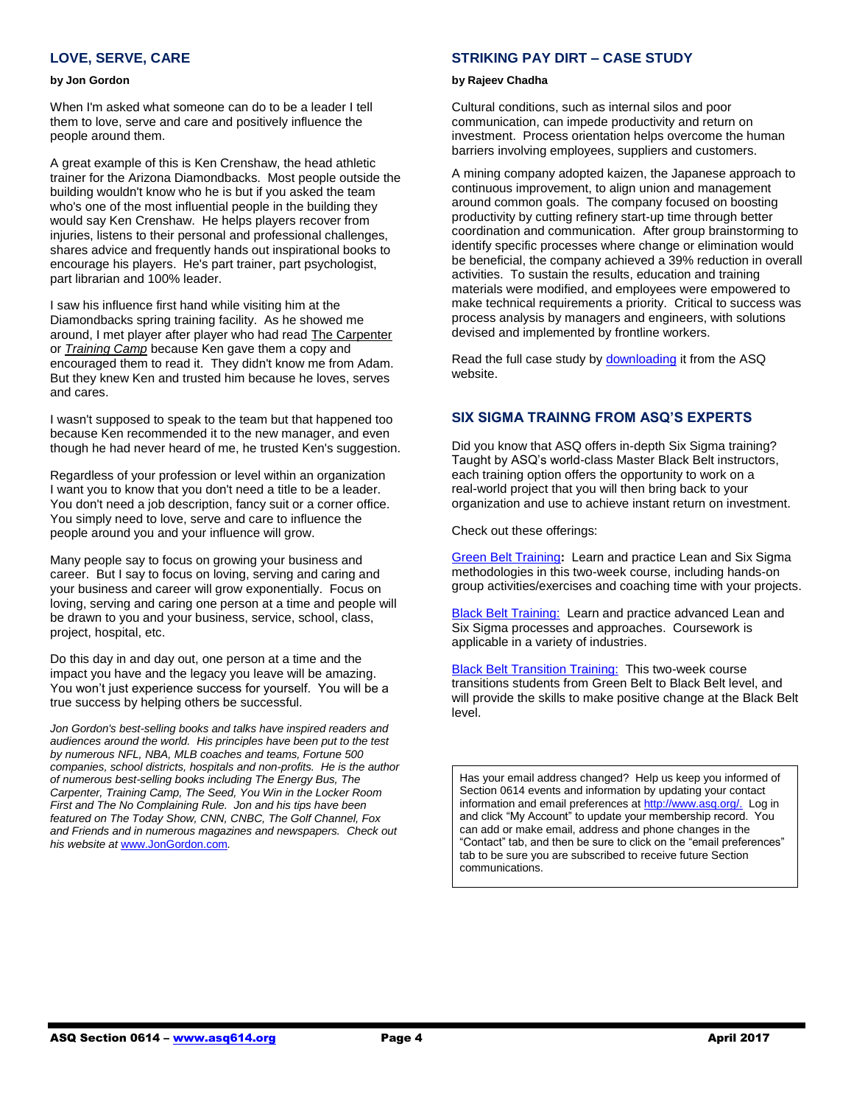# **LOVE, SERVE, CARE**

#### **by Jon Gordon**

When I'm asked what someone can do to be a leader I tell them to love, serve and care and positively influence the people around them.

A great example of this is Ken Crenshaw, the head athletic trainer for the Arizona Diamondbacks. Most people outside the building wouldn't know who he is but if you asked the team who's one of the most influential people in the building they would say Ken Crenshaw. He helps players recover from injuries, listens to their personal and professional challenges, shares advice and frequently hands out inspirational books to encourage his players. He's part trainer, part psychologist, part librarian and 100% leader.

I saw his influence first hand while visiting him at the Diamondbacks spring training facility. As he showed me around, I met player after player who had read [The Carpenter](http://r20.rs6.net/tn.jsp?f=0016nTaurg4jtTCHEMyax68RrXs1-M2DbZPqXUbN998UVkmthclo_4lgGtJSE7cUrRf0CubJTvbeOSgMGFDjBQXk-UAdzYvqGWCoKDj0-NRZSDLDhmpRpnQJ91PZcu9v1zXesvpVbf98dEWxSOu0OC9saUjCw7IljNGNv53LyIIRoA=&c=flT-AI7F3swjh3in3ty_Gp3QiqCaZ_bFD8n_bC2ue272nTE6tJuR-g==&ch=lJ06CvpTHj0pO68V6Z3n4LBykb-IYJKfMAmTvJBBbPmC1Ij2e_x6Ww==) or *[Training Camp](http://r20.rs6.net/tn.jsp?f=0016nTaurg4jtTCHEMyax68RrXs1-M2DbZPqXUbN998UVkmthclo_4lgGtJSE7cUrRfWd_gy6jM3XsqQsexdnNsYK_MEIjynAm8n2uriNI5ZVFUTYmLVWLSqK51oULpPu-3dP1SQUjfaone4B5MnolJtZhyw0JHpAtNE-HHzsmZ-n_XJOdYce5UPj9fiInHznXy1nv93t_BBic=&c=flT-AI7F3swjh3in3ty_Gp3QiqCaZ_bFD8n_bC2ue272nTE6tJuR-g==&ch=lJ06CvpTHj0pO68V6Z3n4LBykb-IYJKfMAmTvJBBbPmC1Ij2e_x6Ww==)* because Ken gave them a copy and encouraged them to read it. They didn't know me from Adam. But they knew Ken and trusted him because he loves, serves and cares.

I wasn't supposed to speak to the team but that happened too because Ken recommended it to the new manager, and even though he had never heard of me, he trusted Ken's suggestion.

Regardless of your profession or level within an organization I want you to know that you don't need a title to be a leader. You don't need a job description, fancy suit or a corner office. You simply need to love, serve and care to influence the people around you and your influence will grow.

Many people say to focus on growing your business and career. But I say to focus on loving, serving and caring and your business and career will grow exponentially. Focus on loving, serving and caring one person at a time and people will be drawn to you and your business, service, school, class, project, hospital, etc.

Do this day in and day out, one person at a time and the impact you have and the legacy you leave will be amazing. You won't just experience success for yourself. You will be a true success by helping others be successful.

*Jon Gordon's best-selling books and talks have inspired readers and audiences around the world. His principles have been put to the test by numerous NFL, NBA, MLB coaches and teams, Fortune 500 companies, school districts, hospitals and non-profits. He is the author of numerous best-selling books including The Energy Bus, The Carpenter, Training Camp, The Seed, You Win in the Locker Room First and The No Complaining Rule. Jon and his tips have been featured on The Today Show, CNN, CNBC, The Golf Channel, Fox and Friends and in numerous magazines and newspapers. Check out his website at* [www.JonGordon.com](file:///G:/ASQ%202017/2017%20Newsletters/Apr%202017/www.JonGordon.com)*.*

#### **[STRIKING PAY DIRT](http://send.asq.org/link.cfm?r=O4fm4FESIoti18Gkq1PUMw~~&pe=ZHRdDdctnWg4eWlOVOa2F6E5q_DYbkvNNuYWaeEY7Qmu3fFyE2ehXJncl7DQZZOaw4DC6_YLPWA-MVpe815QYA~~) – CASE STUDY**

#### **by Rajeev Chadha**

Cultural conditions, such as internal silos and poor communication, can impede productivity and return on investment. Process orientation helps overcome the human barriers involving employees, suppliers and customers.

A mining company adopted kaizen, the Japanese approach to continuous improvement, to align union and management around common goals. The company focused on boosting productivity by cutting refinery start-up time through better coordination and communication. After group brainstorming to identify specific processes where change or elimination would be beneficial, the company achieved a 39% reduction in overall activities. To sustain the results, education and training materials were modified, and employees were empowered to make technical requirements a priority. Critical to success was process analysis by managers and engineers, with solutions devised and implemented by frontline workers.

Read the full case study by **downloading** it from the ASQ website.

#### **SIX SIGMA TRAINNG FROM ASQ'S EXPERTS**

Did you know that ASQ offers in-depth Six Sigma training? Taught by ASQ's world-class Master Black Belt instructors, each training option offers the opportunity to work on a real-world project that you will then bring back to your organization and use to achieve instant return on investment.

Check out these offerings:

[Green Belt Training](http://send.asq.org/link.cfm?r=O4fm4FESIoti18Gkq1PUMw~~&pe=Ok7GmKC3Rzvn1-9MXqa7yJgj-WWM-SRKhbH1qXf12i9JBcmTDt_squWDHZmOLMvd02vlGzQ-vx8w7Oi_SJ6Eeg~~)**:** Learn and practice Lean and Six Sigma methodologies in this two-week course, including hands-on group activities/exercises and coaching time with your projects.

**[Black Belt Training:](http://send.asq.org/link.cfm?r=O4fm4FESIoti18Gkq1PUMw~~&pe=cb1O7tjjH7McgvPdSP0XcF6duyWZRxCAfXZqdQMqaupOaghwSmBMgm0Nrf3zoTpUITHtDVX2ApK0KBJB4-hXHg~~)** Learn and practice advanced Lean and Six Sigma processes and approaches. Coursework is applicable in a variety of industries.

[Black Belt Transition Training:](http://send.asq.org/link.cfm?r=O4fm4FESIoti18Gkq1PUMw~~&pe=y0S3kLZpLm9UTpFza-s3lxrFKmurHAmeTGsLwea2qTvJTlau1KLaaueVEd8CmY4Y69Bwi0l9Qml_kAJDAnkNJA~~) This two-week course transitions students from Green Belt to Black Belt level, and will provide the skills to make positive change at the Black Belt level.

Has your email address changed? Help us keep you informed of Section 0614 events and information by updating your contact information and email preferences a[t http://www.asq.org/.](http://www.asq.org/) Log in and click "My Account" to update your membership record. You can add or make email, address and phone changes in the "Contact" tab, and then be sure to click on the "email preferences" tab to be sure you are subscribed to receive future Section communications.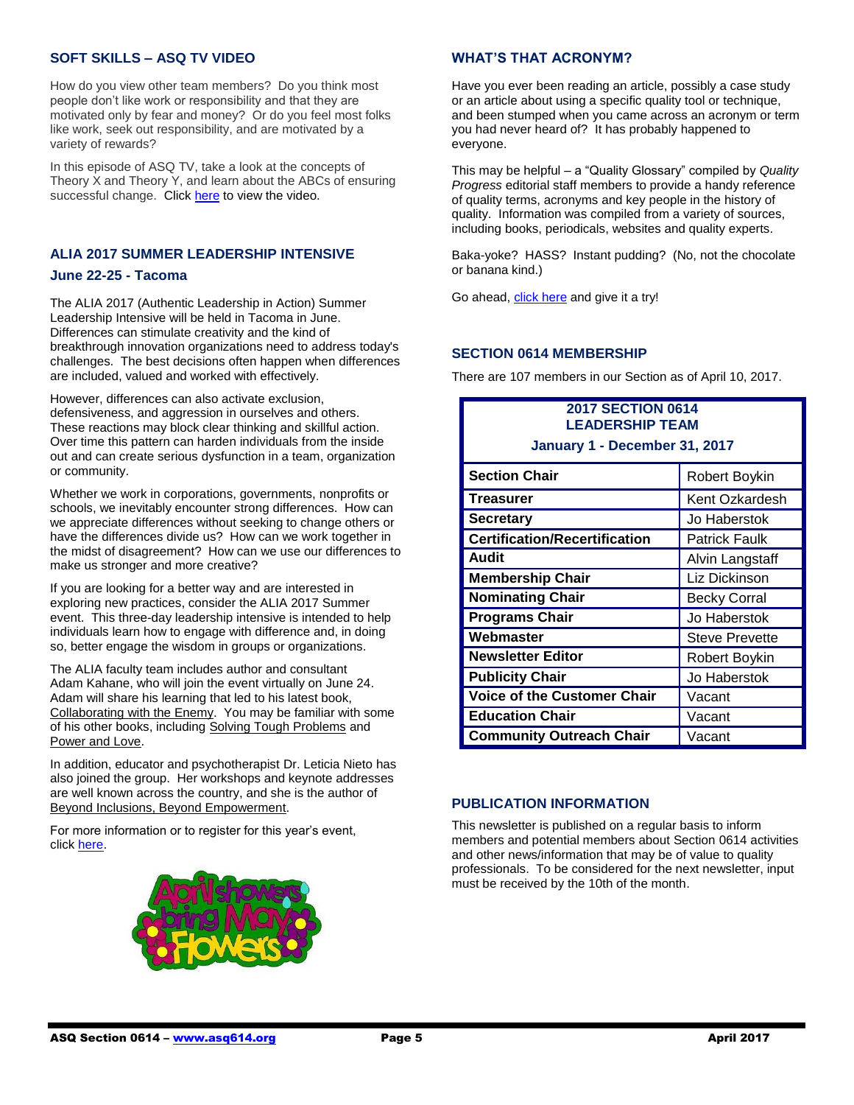# **SOFT SKILLS – ASQ TV VIDEO**

How do you view other team members? Do you think most people don't like work or responsibility and that they are motivated only by fear and money? Or do you feel most folks like work, seek out responsibility, and are motivated by a variety of rewards?

In this episode of ASQ TV, take a look at the concepts of Theory X and Theory Y, and learn about the ABCs of ensuring successful change. Clic[k here](http://videos.asq.org/soft-skills) to view the video.

# **ALIA 2017 SUMMER LEADERSHIP INTENSIVE**

#### **June 22-25 - Tacoma**

The ALIA 2017 (Authentic Leadership in Action) Summer Leadership Intensive will be held in Tacoma in June. Differences can stimulate creativity and the kind of breakthrough innovation organizations need to address today's challenges. The best decisions often happen when differences are included, valued and worked with effectively.

However, differences can also activate exclusion, defensiveness, and aggression in ourselves and others. These reactions may block clear thinking and skillful action. Over time this pattern can harden individuals from the inside out and can create serious dysfunction in a team, organization or community.

Whether we work in corporations, governments, nonprofits or schools, we inevitably encounter strong differences. How can we appreciate differences without seeking to change others or have the differences divide us? How can we work together in the midst of disagreement? How can we use our differences to make us stronger and more creative?

If you are looking for a better way and are interested in exploring new practices, consider the ALIA 2017 Summer event. This three-day leadership intensive is intended to help individuals learn how to engage with difference and, in doing so, better engage the wisdom in groups or organizations.

The ALIA faculty team includes author and consultant Adam Kahane, who will join the event virtually on June 24. Adam will share his learning that led to his latest book, Collaborating with the Enemy. You may be familiar with some of his other books, including Solving Tough Problems and Power and Love.

In addition, educator and psychotherapist Dr. Leticia Nieto has also joined the group. Her workshops and keynote addresses are well known across the country, and she is the author of Beyond Inclusions, Beyond Empowerment.

For more information or to register for this year's event, click [here.](http://www.naropa.edu/academics/alc/events/alia/index.php)



## **WHAT'S THAT ACRONYM?**

Have you ever been reading an article, possibly a case study or an article about using a specific quality tool or technique, and been stumped when you came across an acronym or term you had never heard of? It has probably happened to everyone.

This may be helpful – a "Quality Glossary" compiled by *Quality Progress* editorial staff members to provide a handy reference of quality terms, acronyms and key people in the history of quality. Information was compiled from a variety of sources, including books, periodicals, websites and quality experts.

Baka-yoke? HASS? Instant pudding? (No, not the chocolate or banana kind.)

Go ahead[, click here](https://asq.org/quality-resources/quality-glossary) and give it a try!

## **SECTION 0614 MEMBERSHIP**

There are 107 members in our Section as of April 10, 2017.

| <b>2017 SECTION 0614</b><br><b>LEADERSHIP TEAM</b> |                       |
|----------------------------------------------------|-----------------------|
| January 1 - December 31, 2017                      |                       |
| <b>Section Chair</b>                               | Robert Boykin         |
| <b>Treasurer</b>                                   | Kent Ozkardesh        |
| <b>Secretary</b>                                   | Jo Haberstok          |
| <b>Certification/Recertification</b>               | Patrick Faulk         |
| Audit                                              | Alvin Langstaff       |
| <b>Membership Chair</b>                            | Liz Dickinson         |
| <b>Nominating Chair</b>                            | <b>Becky Corral</b>   |
| <b>Programs Chair</b>                              | Jo Haberstok          |
| Webmaster                                          | <b>Steve Prevette</b> |
| <b>Newsletter Editor</b>                           | Robert Boykin         |
| <b>Publicity Chair</b>                             | Jo Haberstok          |
| <b>Voice of the Customer Chair</b>                 | Vacant                |
| <b>Education Chair</b>                             | Vacant                |
| <b>Community Outreach Chair</b>                    | Vacant                |

## **PUBLICATION INFORMATION**

This newsletter is published on a regular basis to inform members and potential members about Section 0614 activities and other news/information that may be of value to quality professionals. To be considered for the next newsletter, input must be received by the 10th of the month.